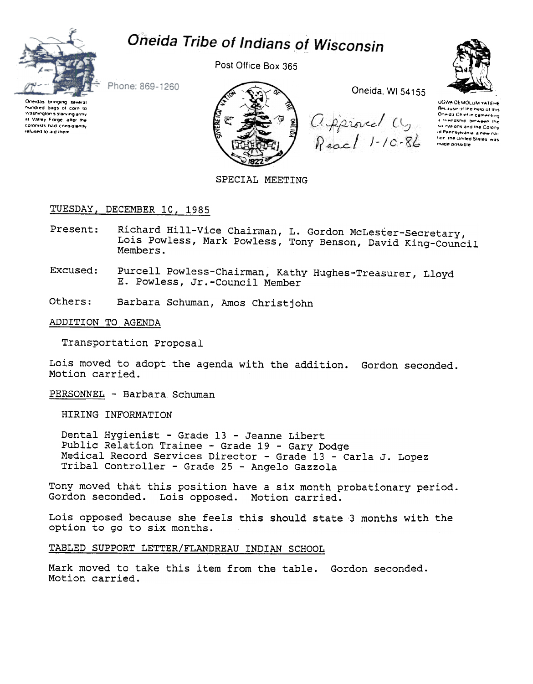

# Oneida Tribe of Indians of Wisconsin

Post Office Box 365



Phone: 869-1260

Oneidas bringing several<br>hundred bags of corn to Washington's starving army at Valley Forge, after the colonists had consistently refused to aid them



Oneida, WI 54155

Approved Cy<br>Reach 1-10-86

UGWA DEMOLUM YATEHE Because of the neip of this Ormda Chief in cementing or from union to dementing<br>A Thendship between the of Pennsylvania, a new nafion the United States was made possible

SPECIAL MEETING

# TUESDAY, DECEMBER 10, 1985

- Richard Hill-Vice Chairman, L. Gordon McLester-Secretary, Present: Lois Powless, Mark Powless, Tony Benson, David King-Council Members.
- Purcell Powless-Chairman, Kathy Hughes-Treasurer, Lloyd Excused: E. Powless, Jr.-Council Member
- Others: Barbara Schuman, Amos Christjohn

### ADDITION TO AGENDA

Transportation Proposal

Lois moved to adopt the agenda with the addition. Gordon seconded. Motion carried.

PERSONNEL - Barbara Schuman

HIRING INFORMATION

Dental Hygienist - Grade 13 - Jeanne Libert Public Relation Trainee - Grade 19 - Gary Dodge Medical Record Services Director - Grade 13 - Carla J. Lopez Tribal Controller - Grade 25 - Angelo Gazzola

Tony moved that this position have a six month probationary period. Gordon seconded. Lois opposed. Motion carried.

Lois opposed because she feels this should state 3 months with the option to go to six months.

TABLED SUPPORT LETTER/FLANDREAU INDIAN SCHOOL

Mark moved to take this item from the table. Gordon seconded. Motion carried.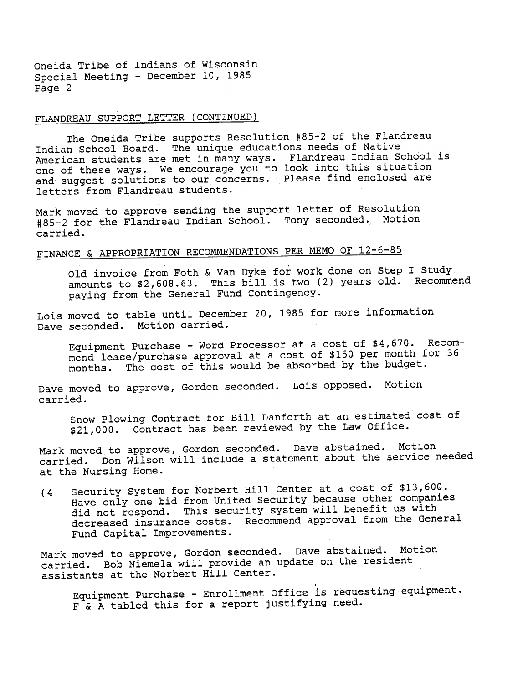Oneida Tribe of Indians of Wisconsin Special Meeting - December 10, 1985 Page 2

# FLANDREAU SUPPORT LETTER (CONTINUED)

The Oneida Tribe supports Resolution #85-2 of the Flandreau Indian School Board. The unique educations needs of Native American students are met in many ways. Flandreau Indian School i one of these ways. We encourage you to look into this situat. and suggest solutions to our concerns. Please find enclosed are letters from Flandreau students.

Mark moved to approve sending the support letter of Resolution #85-2 for the Flandreau Indian School. Tony seconded. Motion carried.

# FINANCE & APPROPRIATION RECOMMENDATIONS PER MEMO OF 12-6-85

Old invoice from Foth & Van Dyke for work done on Step I Study amounts to \$2,608.63. This bill is two (2) years old. Recommend paying from the General Fund Contingency.

Lois moved to table until December 20, 1985 for more information Dave seconded. Motion carried.

Equipment Purchase -Word Processor at a cost of \$4,670. Recommend lease/purchase approval at a cost of \$150 per month for 36 The cost of this would be absorbed by the budget. months.

Dave moved to approve, Gordon seconded. Lois opposed. Motion carried.

Snow Plowing Contract for Bill Danforth at an estimated cost of \$21,000. Contract has been reviewed by the Law Office.

Mark moved to approve, Gordon seconded. Dave abstained. Motion Don Wilson will include a statement about the service needed at the Nursing Home.

(4 Security System for Norbert Hill Center at a cost of \$13,600. Have only one bid from United Security because other companies did not respond. This security system will benefit us with decreased insurance costs. Recommend approval from the General Fund Capital Improvements.

Mark moved to approve, Gordon seconded. Dave abstained. Motion carried. Bob Niemela will provide an update on the resident assistants at the Norbert Hill Center. .

Equipment Purchase - Enrollment Office is requesting equipmen F & A tabled this for a report justifying need.